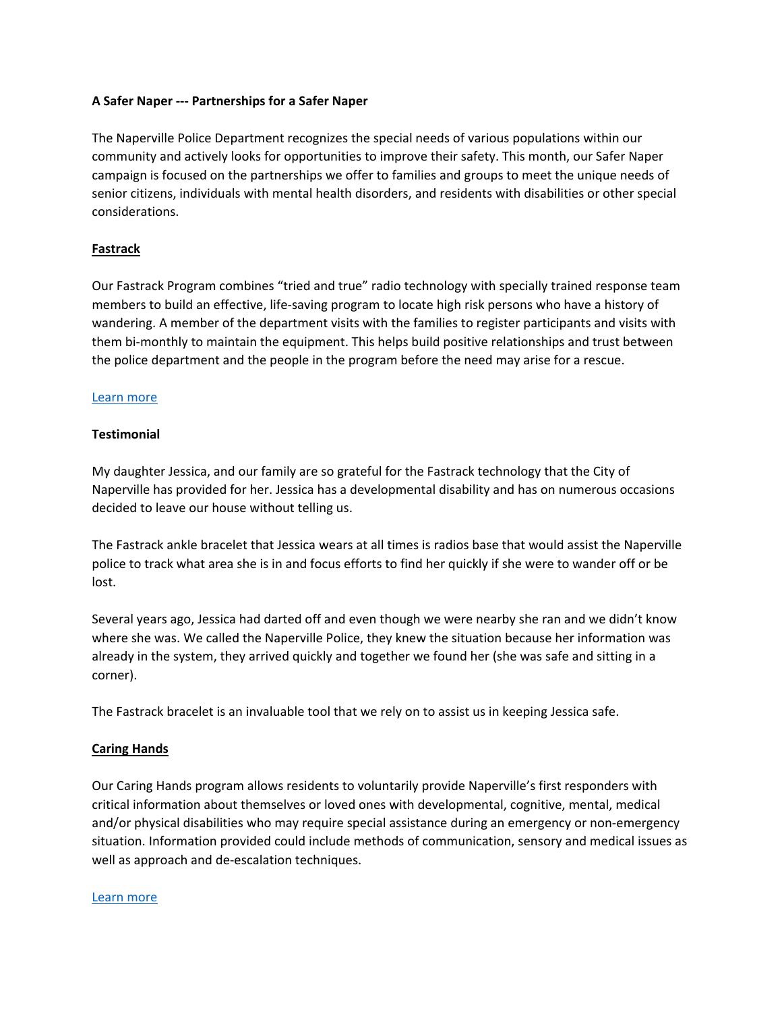# **A Safer Naper ‐‐‐ Partnerships for a Safer Naper**

The Naperville Police Department recognizes the special needs of various populations within our community and actively looks for opportunities to improve their safety. This month, our Safer Naper campaign is focused on the partnerships we offer to families and groups to meet the unique needs of senior citizens, individuals with mental health disorders, and residents with disabilities or other special considerations.

## **Fastrack**

Our Fastrack Program combines "tried and true" radio technology with specially trained response team members to build an effective, life‐saving program to locate high risk persons who have a history of wandering. A member of the department visits with the families to register participants and visits with them bi-monthly to maintain the equipment. This helps build positive relationships and trust between the police department and the people in the program before the need may arise for a rescue.

## Learn more

## **Testimonial**

My daughter Jessica, and our family are so grateful for the Fastrack technology that the City of Naperville has provided for her. Jessica has a developmental disability and has on numerous occasions decided to leave our house without telling us.

The Fastrack ankle bracelet that Jessica wears at all times is radios base that would assist the Naperville police to track what area she is in and focus efforts to find her quickly if she were to wander off or be lost.

Several years ago, Jessica had darted off and even though we were nearby she ran and we didn't know where she was. We called the Naperville Police, they knew the situation because her information was already in the system, they arrived quickly and together we found her (she was safe and sitting in a corner).

The Fastrack bracelet is an invaluable tool that we rely on to assist us in keeping Jessica safe.

# **Caring Hands**

Our Caring Hands program allows residents to voluntarily provide Naperville's first responders with critical information about themselves or loved ones with developmental, cognitive, mental, medical and/or physical disabilities who may require special assistance during an emergency or non‐emergency situation. Information provided could include methods of communication, sensory and medical issues as well as approach and de‐escalation techniques.

#### Learn more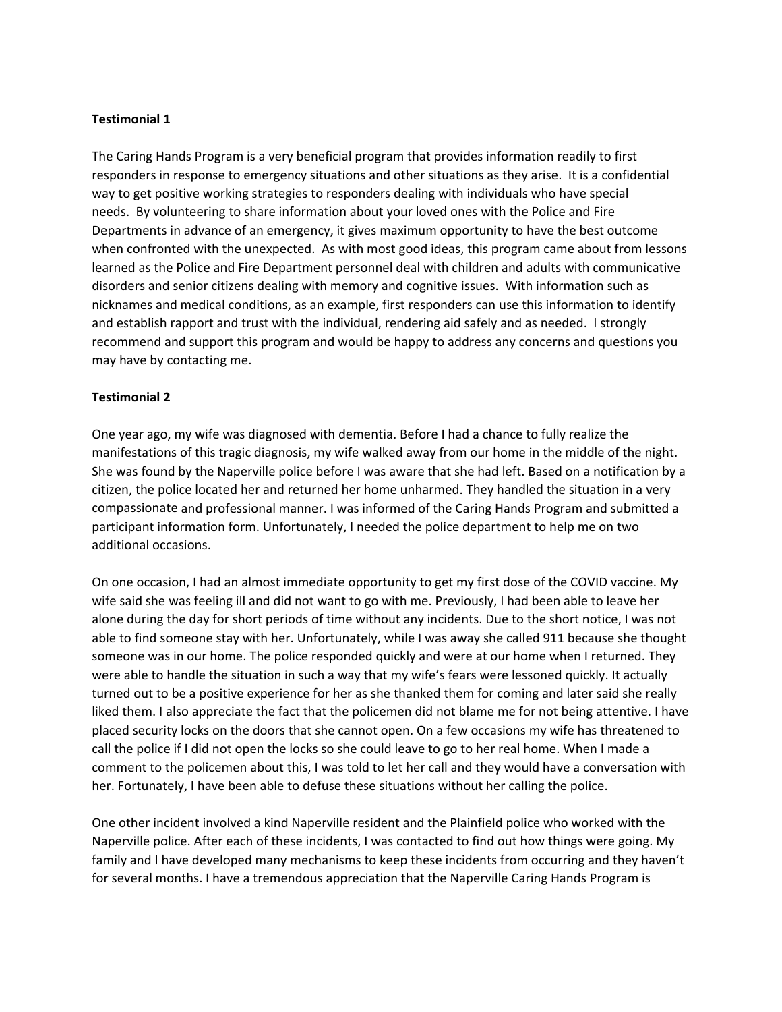# **Testimonial 1**

The Caring Hands Program is a very beneficial program that provides information readily to first responders in response to emergency situations and other situations as they arise. It is a confidential way to get positive working strategies to responders dealing with individuals who have special needs. By volunteering to share information about your loved ones with the Police and Fire Departments in advance of an emergency, it gives maximum opportunity to have the best outcome when confronted with the unexpected. As with most good ideas, this program came about from lessons learned as the Police and Fire Department personnel deal with children and adults with communicative disorders and senior citizens dealing with memory and cognitive issues. With information such as nicknames and medical conditions, as an example, first responders can use this information to identify and establish rapport and trust with the individual, rendering aid safely and as needed. I strongly recommend and support this program and would be happy to address any concerns and questions you may have by contacting me.

#### **Testimonial 2**

One year ago, my wife was diagnosed with dementia. Before I had a chance to fully realize the manifestations of this tragic diagnosis, my wife walked away from our home in the middle of the night. She was found by the Naperville police before I was aware that she had left. Based on a notification by a citizen, the police located her and returned her home unharmed. They handled the situation in a very compassionate and professional manner. I was informed of the Caring Hands Program and submitted a participant information form. Unfortunately, I needed the police department to help me on two additional occasions.

On one occasion, I had an almost immediate opportunity to get my first dose of the COVID vaccine. My wife said she was feeling ill and did not want to go with me. Previously, I had been able to leave her alone during the day for short periods of time without any incidents. Due to the short notice, I was not able to find someone stay with her. Unfortunately, while I was away she called 911 because she thought someone was in our home. The police responded quickly and were at our home when I returned. They were able to handle the situation in such a way that my wife's fears were lessoned quickly. It actually turned out to be a positive experience for her as she thanked them for coming and later said she really liked them. I also appreciate the fact that the policemen did not blame me for not being attentive. I have placed security locks on the doors that she cannot open. On a few occasions my wife has threatened to call the police if I did not open the locks so she could leave to go to her real home. When I made a comment to the policemen about this, I was told to let her call and they would have a conversation with her. Fortunately, I have been able to defuse these situations without her calling the police.

One other incident involved a kind Naperville resident and the Plainfield police who worked with the Naperville police. After each of these incidents, I was contacted to find out how things were going. My family and I have developed many mechanisms to keep these incidents from occurring and they haven't for several months. I have a tremendous appreciation that the Naperville Caring Hands Program is